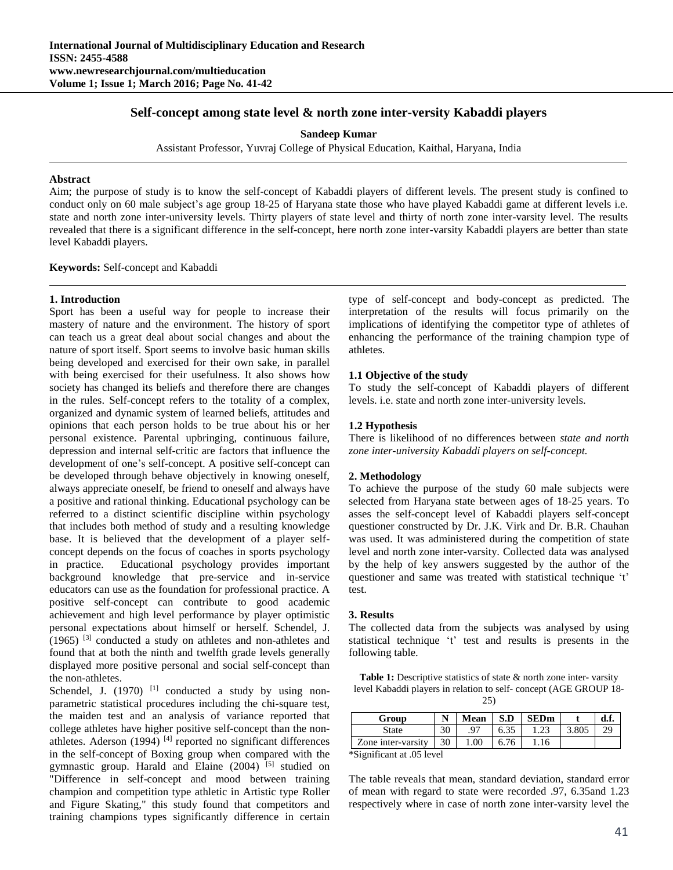# **Self-concept among state level & north zone inter-versity Kabaddi players**

**Sandeep Kumar**

Assistant Professor, Yuvraj College of Physical Education, Kaithal, Haryana, India

#### **Abstract**

Aim; the purpose of study is to know the self-concept of Kabaddi players of different levels. The present study is confined to conduct only on 60 male subject's age group 18-25 of Haryana state those who have played Kabaddi game at different levels i.e. state and north zone inter-university levels. Thirty players of state level and thirty of north zone inter-varsity level. The results revealed that there is a significant difference in the self-concept, here north zone inter-varsity Kabaddi players are better than state level Kabaddi players.

**Keywords:** Self-concept and Kabaddi

### **1. Introduction**

Sport has been a useful way for people to increase their mastery of nature and the environment. The history of sport can teach us a great deal about social changes and about the nature of sport itself. Sport seems to involve basic human skills being developed and exercised for their own sake, in parallel with being exercised for their usefulness. It also shows how society has changed its beliefs and therefore there are changes in the rules. Self-concept refers to the totality of a complex, organized and dynamic system of learned beliefs, attitudes and opinions that each person holds to be true about his or her personal existence. Parental upbringing, continuous failure, depression and internal self-critic are factors that influence the development of one's self-concept. A positive self-concept can be developed through behave objectively in knowing oneself, always appreciate oneself, be friend to oneself and always have a positive and rational thinking. Educational psychology can be referred to a distinct scientific discipline within psychology that includes both method of study and a resulting knowledge base. It is believed that the development of a player selfconcept depends on the focus of coaches in sports psychology in practice. Educational psychology provides important background knowledge that pre-service and in-service educators can use as the foundation for professional practice. A positive self-concept can contribute to good academic achievement and high level performance by player optimistic personal expectations about himself or herself. Schendel, J. (1965) [3] conducted a study on athletes and non-athletes and found that at both the ninth and twelfth grade levels generally displayed more positive personal and social self-concept than the non-athletes.

Schendel, J.  $(1970)$ <sup>[1]</sup> conducted a study by using nonparametric statistical procedures including the chi-square test, the maiden test and an analysis of variance reported that college athletes have higher positive self-concept than the nonathletes. Aderson  $(1994)$ <sup>[4]</sup> reported no significant differences in the self-concept of Boxing group when compared with the gymnastic group. Harald and Elaine (2004)<sup>[5]</sup> studied on "Difference in self-concept and mood between training champion and competition type athletic in Artistic type Roller and Figure Skating," this study found that competitors and training champions types significantly difference in certain type of self-concept and body-concept as predicted. The interpretation of the results will focus primarily on the implications of identifying the competitor type of athletes of enhancing the performance of the training champion type of athletes.

### **1.1 Objective of the study**

To study the self-concept of Kabaddi players of different levels. i.e. state and north zone inter-university levels.

#### **1.2 Hypothesis**

There is likelihood of no differences between *state and north zone inter-university Kabaddi players on self-concept.*

### **2. Methodology**

To achieve the purpose of the study 60 male subjects were selected from Haryana state between ages of 18-25 years. To asses the self-concept level of Kabaddi players self-concept questioner constructed by Dr. J.K. Virk and Dr. B.R. Chauhan was used. It was administered during the competition of state level and north zone inter-varsity. Collected data was analysed by the help of key answers suggested by the author of the questioner and same was treated with statistical technique 't' test.

## **3. Results**

The collected data from the subjects was analysed by using statistical technique 't' test and results is presents in the following table.

Table 1: Descriptive statistics of state & north zone inter-varsity level Kabaddi players in relation to self- concept (AGE GROUP 18-

| Group                                                                     | N  | Mean      | S.D  | <b>SEDm</b> |       | d.f. |
|---------------------------------------------------------------------------|----|-----------|------|-------------|-------|------|
| State                                                                     | 30 | $Q^{\pi}$ | 6.35 |             | 3.805 |      |
| Zone inter-varsity                                                        | 30 | 00.1      | 6.76 |             |       |      |
| $\cdot$ $\sim$<br>$\cdot$ $\sim$<br>$\cdot$ $\cdot$ $\sim$ $\sim$ $\cdot$ |    |           |      |             |       |      |

\*Significant at .05 level

The table reveals that mean, standard deviation, standard error of mean with regard to state were recorded .97, 6.35and 1.23 respectively where in case of north zone inter-varsity level the